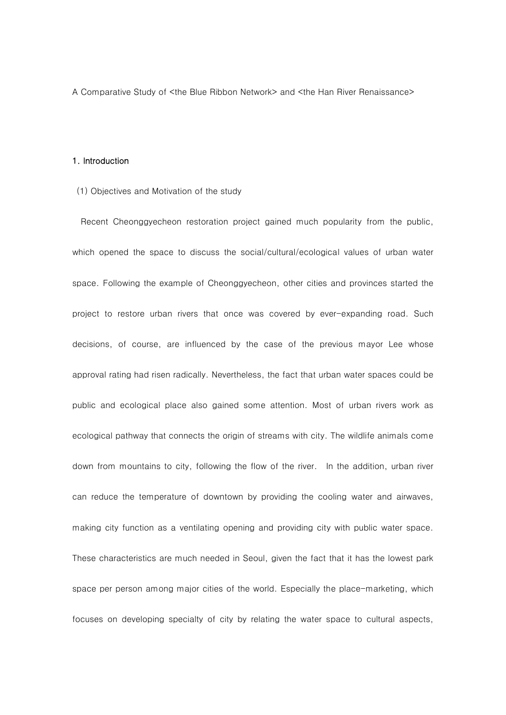A Comparative Study of <the Blue Ribbon Network> and <the Han River Renaissance>

# 1. Introduction

(1) Objectives and Motivation of the study

Recent Cheonggyecheon restoration project gained much popularity from the public, which opened the space to discuss the social/cultural/ecological values of urban water space. Following the example of Cheonggyecheon, other cities and provinces started the project to restore urban rivers that once was covered by ever-expanding road. Such decisions, of course, are influenced by the case of the previous mayor Lee whose approval rating had risen radically. Nevertheless, the fact that urban water spaces could be public and ecological place also gained some attention. Most of urban rivers work as ecological pathway that connects the origin of streams with city. The wildlife animals come down from mountains to city, following the flow of the river. In the addition, urban river can reduce the temperature of downtown by providing the cooling water and airwaves, making city function as a ventilating opening and providing city with public water space. These characteristics are much needed in Seoul, given the fact that it has the lowest park space per person among major cities of the world. Especially the place-marketing, which focuses on developing specialty of city by relating the water space to cultural aspects,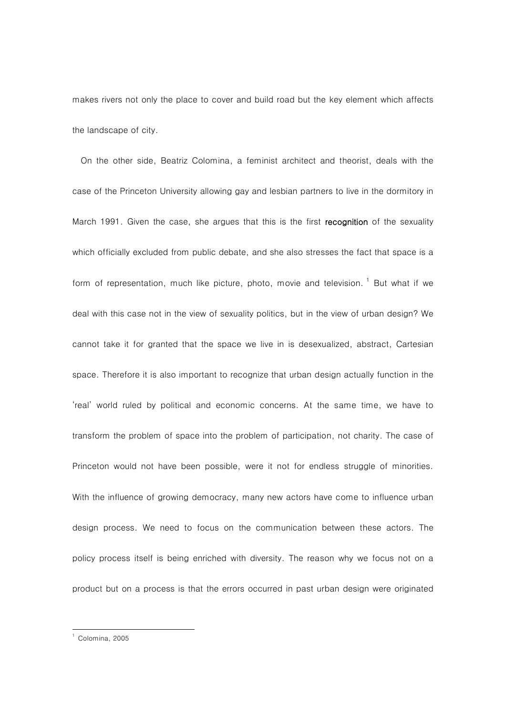makes rivers not only the place to cover and build road but the key element which affects the landscape of city.

On the other side, Beatriz Colomina, a feminist architect and theorist, deals with the case of the Princeton University allowing gay and lesbian partners to live in the dormitory in March 1991. Given the case, she argues that this is the first recognition of the sexuality which officially excluded from public debate, and she also stresses the fact that space is a form of representation, much like picture, photo, movie and television.  $1$  But what if we deal with this case not in the view of sexuality politics, but in the view of urban design? We cannot take it for granted that the space we live in is desexualized, abstract, Cartesian space. Therefore it is also important to recognize that urban design actually function in the 'real' world ruled by political and economic concerns. At the same time, we have to transform the problem of space into the problem of participation, not charity. The case of Princeton would not have been possible, were it not for endless struggle of minorities. With the influence of growing democracy, many new actors have come to influence urban design process. We need to focus on the communication between these actors. The policy process itself is being enriched with diversity. The reason why we focus not on a product but on a process is that the errors occurred in past urban design were originated

 $\overline{\phantom{a}}$ 

<sup>1</sup> Colomina, 2005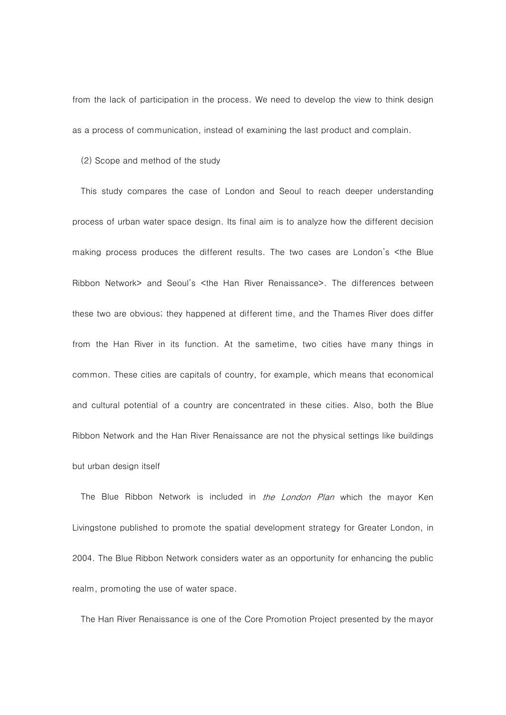from the lack of participation in the process. We need to develop the view to think design as a process of communication, instead of examining the last product and complain.

(2) Scope and method of the study

This study compares the case of London and Seoul to reach deeper understanding process of urban water space design. Its final aim is to analyze how the different decision making process produces the different results. The two cases are London's <the Blue Ribbon Network> and Seoul's <the Han River Renaissance>. The differences between these two are obvious; they happened at different time, and the Thames River does differ from the Han River in its function. At the sametime, two cities have many things in common. These cities are capitals of country, for example, which means that economical and cultural potential of a country are concentrated in these cities. Also, both the Blue Ribbon Network and the Han River Renaissance are not the physical settings like buildings but urban design itself

The Blue Ribbon Network is included in *the London Plan* which the mayor Ken Livingstone published to promote the spatial development strategy for Greater London, in 2004. The Blue Ribbon Network considers water as an opportunity for enhancing the public realm, promoting the use of water space.

The Han River Renaissance is one of the Core Promotion Project presented by the mayor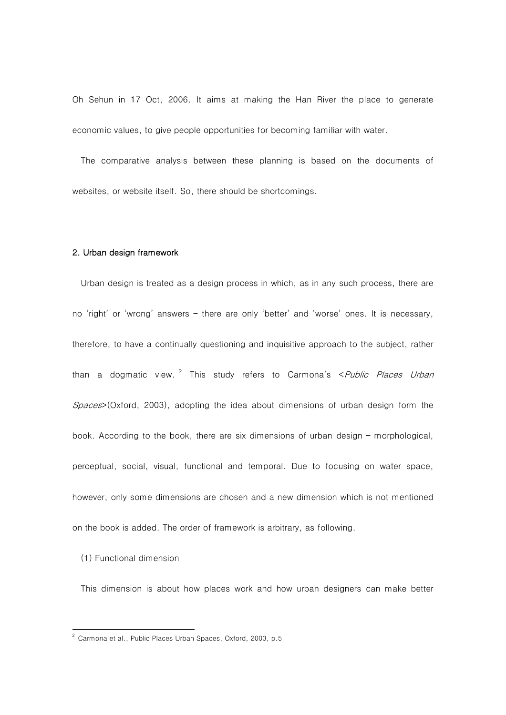Oh Sehun in 17 Oct, 2006. It aims at making the Han River the place to generate economic values, to give people opportunities for becoming familiar with water.

The comparative analysis between these planning is based on the documents of websites, or website itself. So, there should be shortcomings.

# 2. Urban design framework

Urban design is treated as a design process in which, as in any such process, there are no 'right' or 'wrong' answers – there are only 'better' and 'worse' ones. It is necessary, therefore, to have a continually questioning and inquisitive approach to the subject, rather than a dogmatic view. <sup>2</sup> This study refers to Carmona's < Public Places Urban  $Space$ >(Oxford, 2003), adopting the idea about dimensions of urban design form the book. According to the book, there are six dimensions of urban design – morphological, perceptual, social, visual, functional and temporal. Due to focusing on water space, however, only some dimensions are chosen and a new dimension which is not mentioned on the book is added. The order of framework is arbitrary, as following.

(1) Functional dimension

 $\overline{\phantom{a}}$ 

This dimension is about how places work and how urban designers can make better

 $^2$  Carmona et al., Public Places Urban Spaces, Oxford, 2003, p.5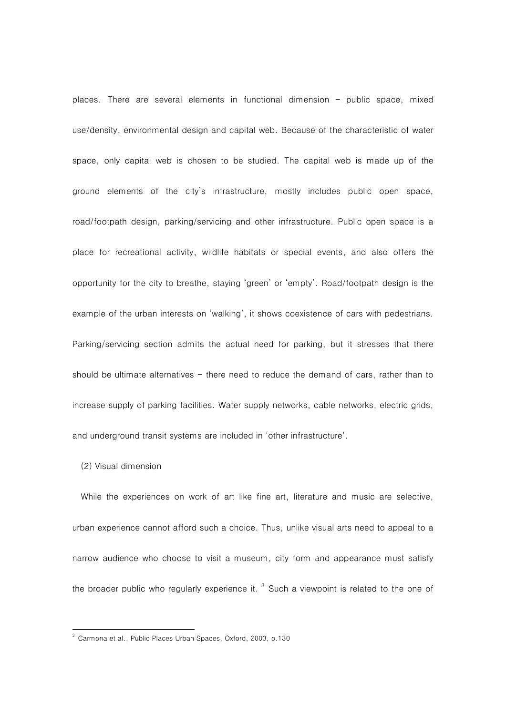places. There are several elements in functional dimension – public space, mixed use/density, environmental design and capital web. Because of the characteristic of water space, only capital web is chosen to be studied. The capital web is made up of the ground elements of the city's infrastructure, mostly includes public open space, road/footpath design, parking/servicing and other infrastructure. Public open space is a place for recreational activity, wildlife habitats or special events, and also offers the opportunity for the city to breathe, staying 'green' or 'empty'. Road/footpath design is the example of the urban interests on 'walking', it shows coexistence of cars with pedestrians. Parking/servicing section admits the actual need for parking, but it stresses that there should be ultimate alternatives  $-$  there need to reduce the demand of cars, rather than to increase supply of parking facilities. Water supply networks, cable networks, electric grids, and underground transit systems are included in 'other infrastructure'.

### (2) Visual dimension

 $\overline{\phantom{a}}$ 

While the experiences on work of art like fine art, literature and music are selective, urban experience cannot afford such a choice. Thus, unlike visual arts need to appeal to a narrow audience who choose to visit a museum, city form and appearance must satisfy the broader public who regularly experience it.  $3$  Such a viewpoint is related to the one of

<sup>3</sup> Carmona et al., Public Places Urban Spaces, Oxford, 2003, p.130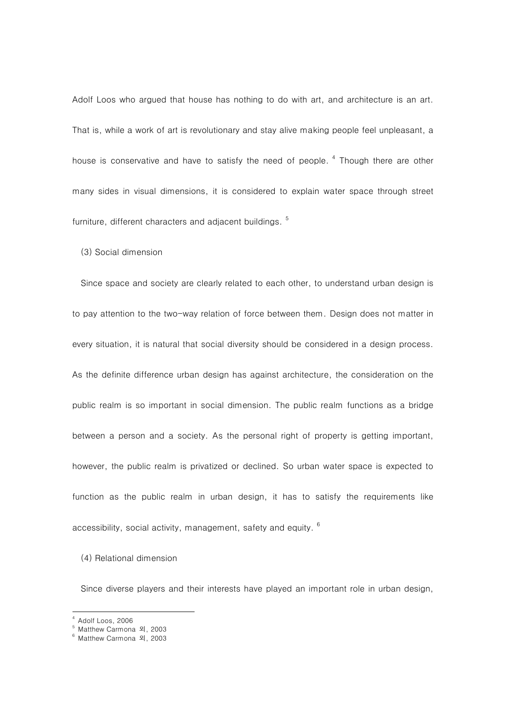Adolf Loos who argued that house has nothing to do with art, and architecture is an art. That is, while a work of art is revolutionary and stay alive making people feel unpleasant, a house is conservative and have to satisfy the need of people.<sup>4</sup> Though there are other many sides in visual dimensions, it is considered to explain water space through street furniture, different characters and adjacent buildings.<sup>5</sup>

(3) Social dimension

Since space and society are clearly related to each other, to understand urban design is to pay attention to the two-way relation of force between them. Design does not matter in every situation, it is natural that social diversity should be considered in a design process. As the definite difference urban design has against architecture, the consideration on the public realm is so important in social dimension. The public realm functions as a bridge between a person and a society. As the personal right of property is getting important, however, the public realm is privatized or declined. So urban water space is expected to function as the public realm in urban design, it has to satisfy the requirements like accessibility, social activity, management, safety and equity.  $6$ 

(4) Relational dimension

Since diverse players and their interests have played an important role in urban design,

 $\overline{a}$ 

<sup>4</sup> Adolf Loos, 2006

<sup>5</sup> Matthew Carmona 외, 2003

<sup>6</sup> Matthew Carmona 외, 2003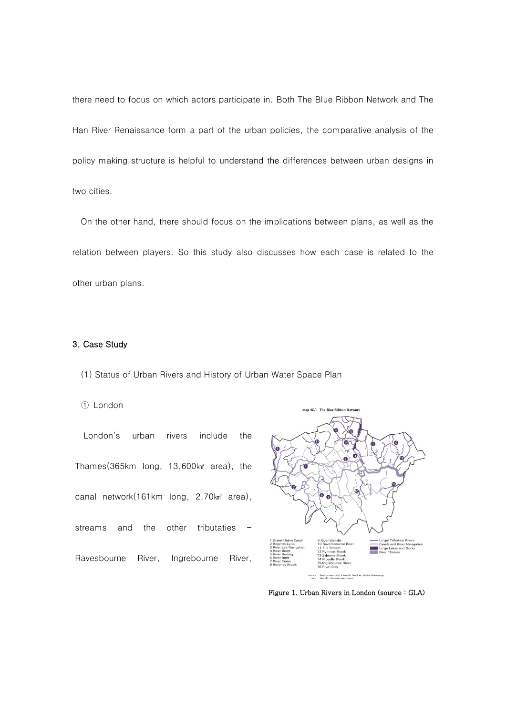there need to focus on which actors participate in. Both The Blue Ribbon Network and The Han River Renaissance form a part of the urban policies, the comparative analysis of the policy making structure is helpful to understand the differences between urban designs in two cities.

On the other hand, there should focus on the implications between plans, as well as the relation between players. So this study also discusses how each case is related to the other urban plans.

# 3. Case Study

(1) Status of Urban Rivers and History of Urban Water Space Plan

# ① London

London's urban rivers include the Thames(365km long, 13,600㎢ area), the canal network(161km long, 2.70km<sup>a</sup> area), streams and the other tributaties Ravesbourne River, Ingrebourne River,



Figure 1. Urban Rivers in London (source : GLA)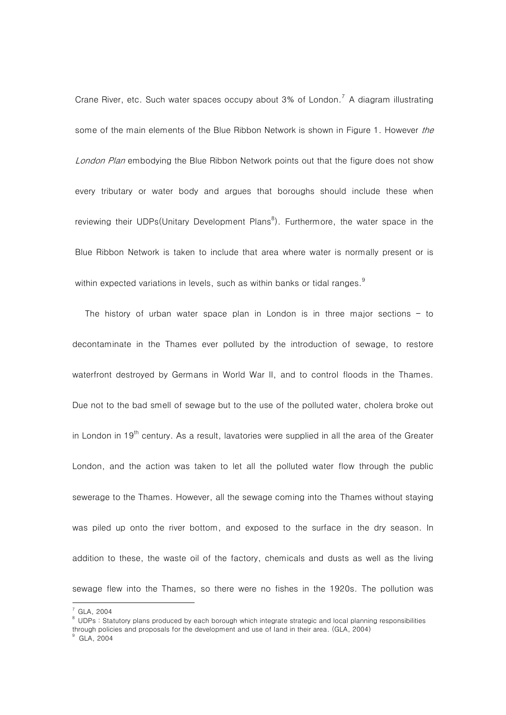Crane River, etc. Such water spaces occupy about  $3\%$  of London.<sup>7</sup> A diagram illustrating some of the main elements of the Blue Ribbon Network is shown in Figure 1. However the London Plan embodying the Blue Ribbon Network points out that the figure does not show every tributary or water body and argues that boroughs should include these when reviewing their UDPs(Unitary Development Plans $^8$ ). Furthermore, the water space in the Blue Ribbon Network is taken to include that area where water is normally present or is within expected variations in levels, such as within banks or tidal ranges.<sup>9</sup>

 The history of urban water space plan in London is in three major sections – to decontaminate in the Thames ever polluted by the introduction of sewage, to restore waterfront destroyed by Germans in World War II, and to control floods in the Thames. Due not to the bad smell of sewage but to the use of the polluted water, cholera broke out in London in 19<sup>th</sup> century. As a result, lavatories were supplied in all the area of the Greater London, and the action was taken to let all the polluted water flow through the public sewerage to the Thames. However, all the sewage coming into the Thames without staying was piled up onto the river bottom, and exposed to the surface in the dry season. In addition to these, the waste oil of the factory, chemicals and dusts as well as the living sewage flew into the Thames, so there were no fishes in the 1920s. The pollution was

 $\overline{a}$ 

 $^7$  GLA, 2004

 $8$  UDPs : Statutory plans produced by each borough which integrate strategic and local planning responsibilities through policies and proposals for the development and use of land in their area. (GLA, 2004)  $\degree$  GLA 2004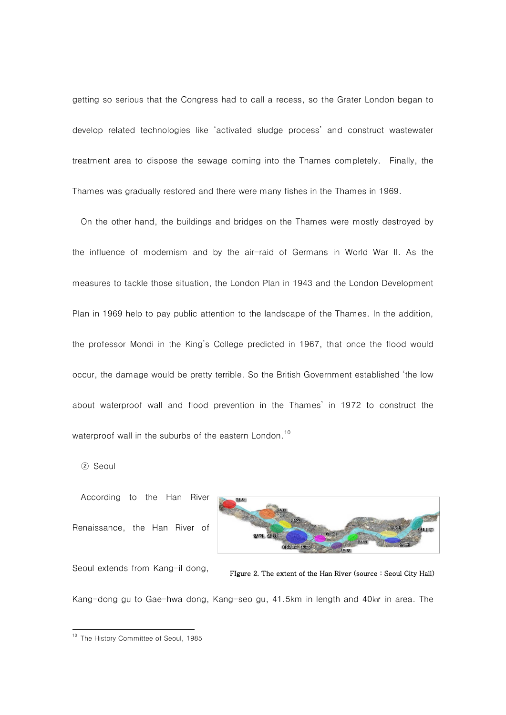getting so serious that the Congress had to call a recess, so the Grater London began to develop related technologies like 'activated sludge process' and construct wastewater treatment area to dispose the sewage coming into the Thames completely. Finally, the Thames was gradually restored and there were many fishes in the Thames in 1969.

On the other hand, the buildings and bridges on the Thames were mostly destroyed by the influence of modernism and by the air-raid of Germans in World War II. As the measures to tackle those situation, the London Plan in 1943 and the London Development Plan in 1969 help to pay public attention to the landscape of the Thames. In the addition, the professor Mondi in the King's College predicted in 1967, that once the flood would occur, the damage would be pretty terrible. So the British Government established 'the low about waterproof wall and flood prevention in the Thames' in 1972 to construct the waterproof wall in the suburbs of the eastern London.<sup>10</sup>

② Seoul

 $\overline{\phantom{a}}$ 

According to the Han River Renaissance, the Han River of



Seoul extends from Kang-il dong,



Kang-dong gu to Gae-hwa dong, Kang-seo gu, 41.5km in length and 40㎢ in area. The

<sup>&</sup>lt;sup>10</sup> The History Committee of Seoul, 1985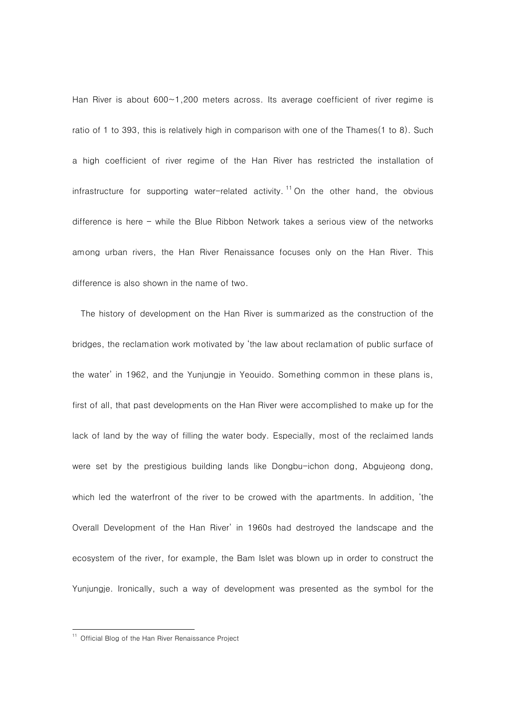Han River is about  $600 \sim 1,200$  meters across. Its average coefficient of river regime is ratio of 1 to 393, this is relatively high in comparison with one of the Thames(1 to 8). Such a high coefficient of river regime of the Han River has restricted the installation of infrastructure for supporting water-related activity.<sup>11</sup> On the other hand, the obvious difference is here – while the Blue Ribbon Network takes a serious view of the networks among urban rivers, the Han River Renaissance focuses only on the Han River. This difference is also shown in the name of two.

The history of development on the Han River is summarized as the construction of the bridges, the reclamation work motivated by 'the law about reclamation of public surface of the water' in 1962, and the Yunjungje in Yeouido. Something common in these plans is, first of all, that past developments on the Han River were accomplished to make up for the lack of land by the way of filling the water body. Especially, most of the reclaimed lands were set by the prestigious building lands like Dongbu-ichon dong, Abgujeong dong, which led the waterfront of the river to be crowed with the apartments. In addition, 'the Overall Development of the Han River' in 1960s had destroyed the landscape and the ecosystem of the river, for example, the Bam Islet was blown up in order to construct the Yunjungje. Ironically, such a way of development was presented as the symbol for the

 $\overline{\phantom{a}}$ 

<sup>&</sup>lt;sup>11</sup> Official Blog of the Han River Renaissance Project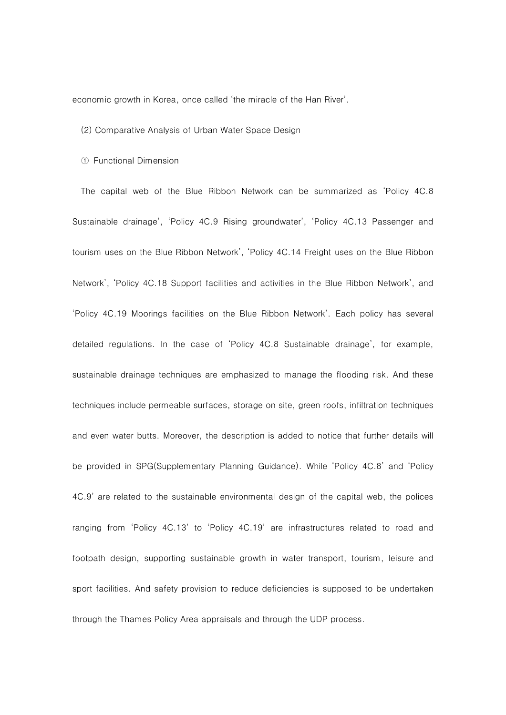economic growth in Korea, once called 'the miracle of the Han River'.

### (2) Comparative Analysis of Urban Water Space Design

#### ① Functional Dimension

The capital web of the Blue Ribbon Network can be summarized as 'Policy 4C.8 Sustainable drainage', 'Policy 4C.9 Rising groundwater', 'Policy 4C.13 Passenger and tourism uses on the Blue Ribbon Network', 'Policy 4C.14 Freight uses on the Blue Ribbon Network', 'Policy 4C.18 Support facilities and activities in the Blue Ribbon Network', and 'Policy 4C.19 Moorings facilities on the Blue Ribbon Network'. Each policy has several detailed regulations. In the case of 'Policy 4C.8 Sustainable drainage', for example, sustainable drainage techniques are emphasized to manage the flooding risk. And these techniques include permeable surfaces, storage on site, green roofs, infiltration techniques and even water butts. Moreover, the description is added to notice that further details will be provided in SPG(Supplementary Planning Guidance). While 'Policy 4C.8' and 'Policy 4C.9' are related to the sustainable environmental design of the capital web, the polices ranging from 'Policy 4C.13' to 'Policy 4C.19' are infrastructures related to road and footpath design, supporting sustainable growth in water transport, tourism, leisure and sport facilities. And safety provision to reduce deficiencies is supposed to be undertaken through the Thames Policy Area appraisals and through the UDP process.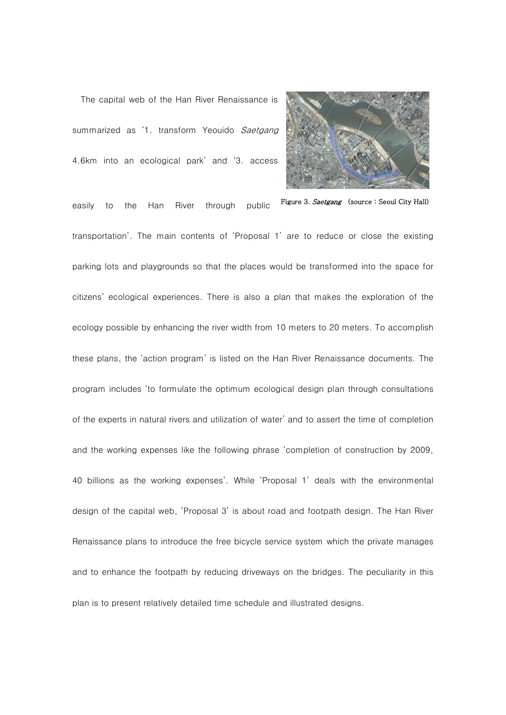The capital web of the Han River Renaissance is summarized as '1. transform Yeouido Saetgang 4.6km into an ecological park' and '3. access



Figure 3. Saetgang (source : Seoul City Hall)

easily to the Han River through public transportation'. The main contents of 'Proposal 1' are to reduce or close the existing parking lots and playgrounds so that the places would be transformed into the space for citizens' ecological experiences. There is also a plan that makes the exploration of the ecology possible by enhancing the river width from 10 meters to 20 meters. To accomplish these plans, the 'action program' is listed on the Han River Renaissance documents. The program includes 'to formulate the optimum ecological design plan through consultations of the experts in natural rivers and utilization of water' and to assert the time of completion and the working expenses like the following phrase 'completion of construction by 2009, 40 billions as the working expenses'. While 'Proposal 1' deals with the environmental design of the capital web, 'Proposal 3' is about road and footpath design. The Han River Renaissance plans to introduce the free bicycle service system which the private manages and to enhance the footpath by reducing driveways on the bridges. The peculiarity in this plan is to present relatively detailed time schedule and illustrated designs.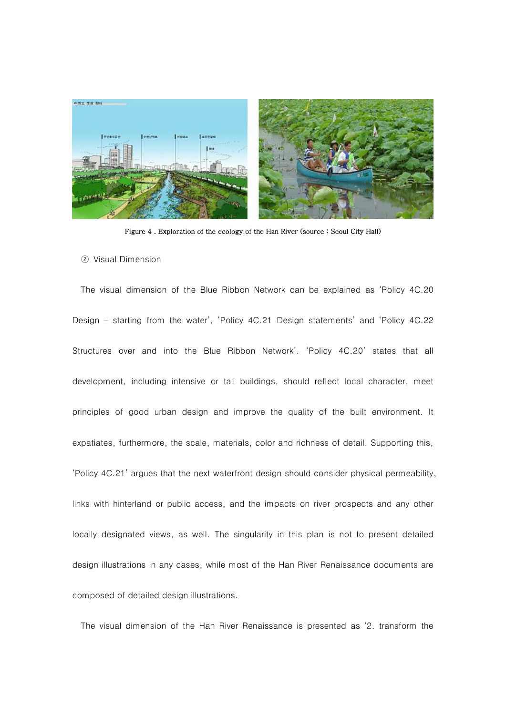

Figure 4 . Exploration of the ecology of the Han River (source : Seoul City Hall)

#### ② Visual Dimension

The visual dimension of the Blue Ribbon Network can be explained as 'Policy 4C.20 Design – starting from the water', 'Policy 4C.21 Design statements' and 'Policy 4C.22 Structures over and into the Blue Ribbon Network'. 'Policy 4C.20' states that all development, including intensive or tall buildings, should reflect local character, meet principles of good urban design and improve the quality of the built environment. It expatiates, furthermore, the scale, materials, color and richness of detail. Supporting this, 'Policy 4C.21' argues that the next waterfront design should consider physical permeability, links with hinterland or public access, and the impacts on river prospects and any other locally designated views, as well. The singularity in this plan is not to present detailed design illustrations in any cases, while most of the Han River Renaissance documents are composed of detailed design illustrations.

The visual dimension of the Han River Renaissance is presented as '2. transform the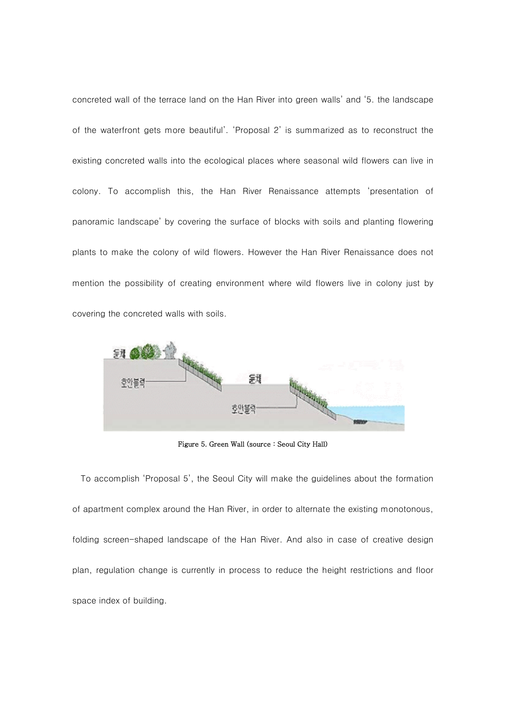concreted wall of the terrace land on the Han River into green walls' and '5. the landscape of the waterfront gets more beautiful'. 'Proposal 2' is summarized as to reconstruct the existing concreted walls into the ecological places where seasonal wild flowers can live in colony. To accomplish this, the Han River Renaissance attempts 'presentation of panoramic landscape' by covering the surface of blocks with soils and planting flowering plants to make the colony of wild flowers. However the Han River Renaissance does not mention the possibility of creating environment where wild flowers live in colony just by covering the concreted walls with soils.



Figure 5. Green Wall (source : Seoul City Hall)

To accomplish 'Proposal 5', the Seoul City will make the guidelines about the formation of apartment complex around the Han River, in order to alternate the existing monotonous, folding screen-shaped landscape of the Han River. And also in case of creative design plan, regulation change is currently in process to reduce the height restrictions and floor space index of building.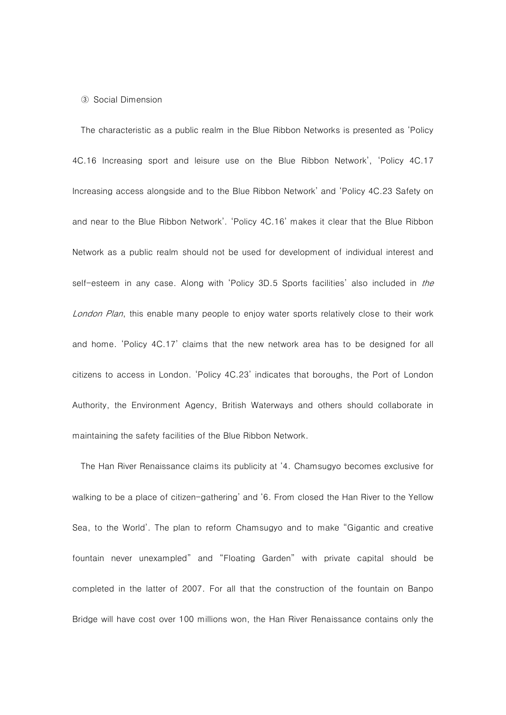#### ③ Social Dimension

The characteristic as a public realm in the Blue Ribbon Networks is presented as 'Policy 4C.16 Increasing sport and leisure use on the Blue Ribbon Network', 'Policy 4C.17 Increasing access alongside and to the Blue Ribbon Network' and 'Policy 4C.23 Safety on and near to the Blue Ribbon Network'. 'Policy 4C.16' makes it clear that the Blue Ribbon Network as a public realm should not be used for development of individual interest and self-esteem in any case. Along with 'Policy 3D.5 Sports facilities' also included in *the* London Plan, this enable many people to enjoy water sports relatively close to their work and home. 'Policy 4C.17' claims that the new network area has to be designed for all citizens to access in London. 'Policy 4C.23' indicates that boroughs, the Port of London Authority, the Environment Agency, British Waterways and others should collaborate in maintaining the safety facilities of the Blue Ribbon Network.

The Han River Renaissance claims its publicity at '4. Chamsugyo becomes exclusive for walking to be a place of citizen-gathering' and '6. From closed the Han River to the Yellow Sea, to the World'. The plan to reform Chamsugyo and to make "Gigantic and creative fountain never unexampled" and "Floating Garden" with private capital should be completed in the latter of 2007. For all that the construction of the fountain on Banpo Bridge will have cost over 100 millions won, the Han River Renaissance contains only the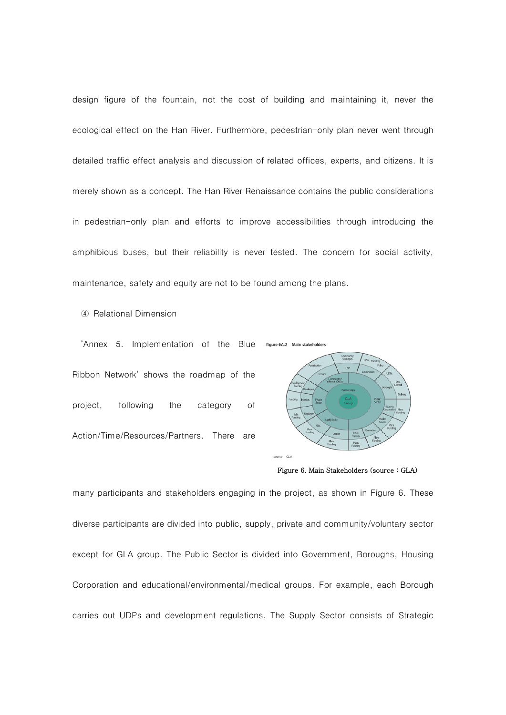design figure of the fountain, not the cost of building and maintaining it, never the ecological effect on the Han River. Furthermore, pedestrian-only plan never went through detailed traffic effect analysis and discussion of related offices, experts, and citizens. It is merely shown as a concept. The Han River Renaissance contains the public considerations in pedestrian-only plan and efforts to improve accessibilities through introducing the amphibious buses, but their reliability is never tested. The concern for social activity, maintenance, safety and equity are not to be found among the plans.

④ Relational Dimension

'Annex 5. Implementation of the Blue Ribbon Network' shows the roadmap of the project, following the category of Action/Time/Resources/Partners. There are



Figure 6. Main Stakeholders (source : GLA)

many participants and stakeholders engaging in the project, as shown in Figure 6. These diverse participants are divided into public, supply, private and community/voluntary sector except for GLA group. The Public Sector is divided into Government, Boroughs, Housing Corporation and educational/environmental/medical groups. For example, each Borough carries out UDPs and development regulations. The Supply Sector consists of Strategic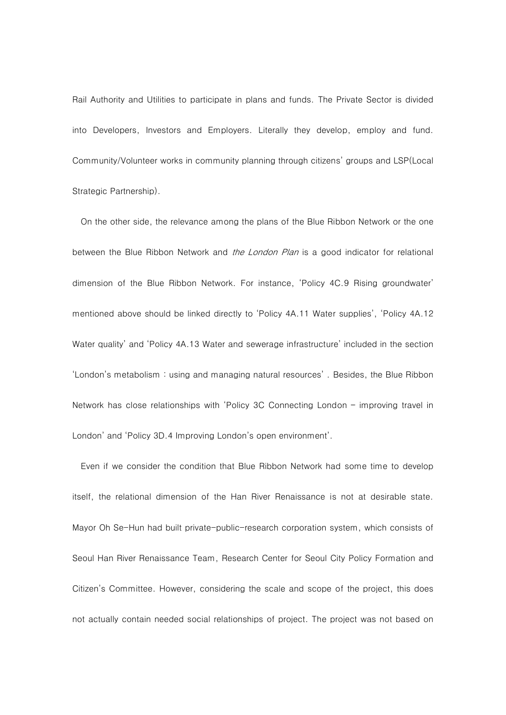Rail Authority and Utilities to participate in plans and funds. The Private Sector is divided into Developers, Investors and Employers. Literally they develop, employ and fund. Community/Volunteer works in community planning through citizens' groups and LSP(Local Strategic Partnership).

On the other side, the relevance among the plans of the Blue Ribbon Network or the one between the Blue Ribbon Network and *the London Plan* is a good indicator for relational dimension of the Blue Ribbon Network. For instance, 'Policy 4C.9 Rising groundwater' mentioned above should be linked directly to 'Policy 4A.11 Water supplies', 'Policy 4A.12 Water quality' and 'Policy 4A.13 Water and sewerage infrastructure' included in the section 'London's metabolism : using and managing natural resources' . Besides, the Blue Ribbon Network has close relationships with 'Policy 3C Connecting London – improving travel in London' and 'Policy 3D.4 Improving London's open environment'.

Even if we consider the condition that Blue Ribbon Network had some time to develop itself, the relational dimension of the Han River Renaissance is not at desirable state. Mayor Oh Se-Hun had built private-public-research corporation system, which consists of Seoul Han River Renaissance Team, Research Center for Seoul City Policy Formation and Citizen's Committee. However, considering the scale and scope of the project, this does not actually contain needed social relationships of project. The project was not based on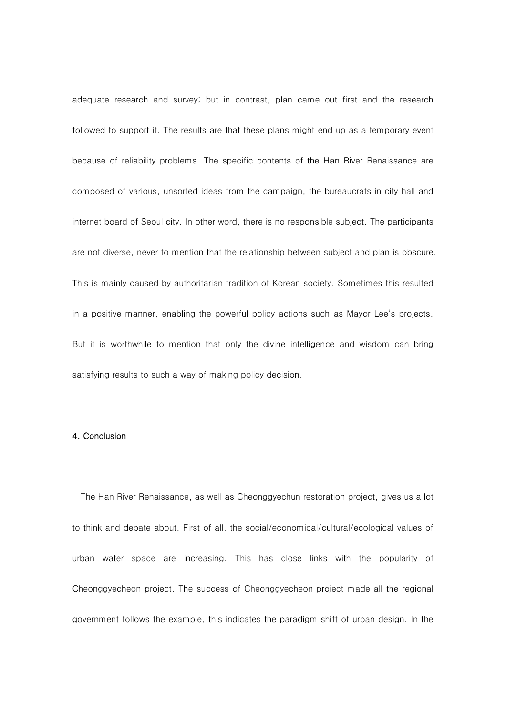adequate research and survey; but in contrast, plan came out first and the research followed to support it. The results are that these plans might end up as a temporary event because of reliability problems. The specific contents of the Han River Renaissance are composed of various, unsorted ideas from the campaign, the bureaucrats in city hall and internet board of Seoul city. In other word, there is no responsible subject. The participants are not diverse, never to mention that the relationship between subject and plan is obscure. This is mainly caused by authoritarian tradition of Korean society. Sometimes this resulted in a positive manner, enabling the powerful policy actions such as Mayor Lee's projects. But it is worthwhile to mention that only the divine intelligence and wisdom can bring satisfying results to such a way of making policy decision.

# 4. Conclusion

The Han River Renaissance, as well as Cheonggyechun restoration project, gives us a lot to think and debate about. First of all, the social/economical/cultural/ecological values of urban water space are increasing. This has close links with the popularity of Cheonggyecheon project. The success of Cheonggyecheon project made all the regional government follows the example, this indicates the paradigm shift of urban design. In the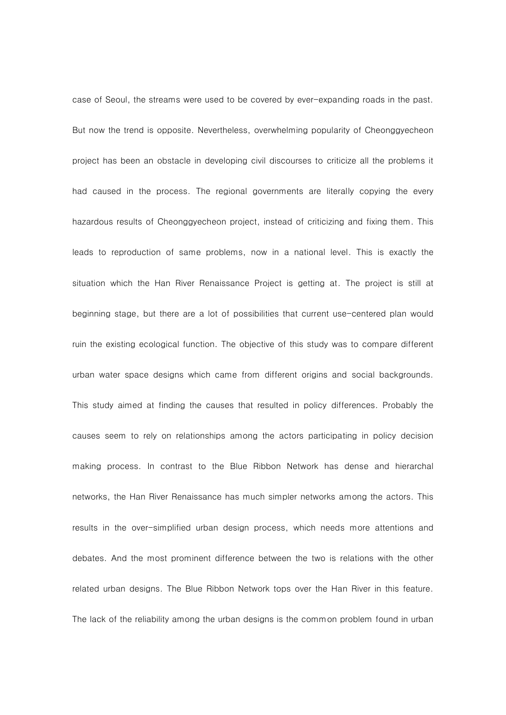case of Seoul, the streams were used to be covered by ever-expanding roads in the past. But now the trend is opposite. Nevertheless, overwhelming popularity of Cheonggyecheon project has been an obstacle in developing civil discourses to criticize all the problems it had caused in the process. The regional governments are literally copying the every hazardous results of Cheonggyecheon project, instead of criticizing and fixing them. This leads to reproduction of same problems, now in a national level. This is exactly the situation which the Han River Renaissance Project is getting at. The project is still at beginning stage, but there are a lot of possibilities that current use-centered plan would ruin the existing ecological function. The objective of this study was to compare different urban water space designs which came from different origins and social backgrounds. This study aimed at finding the causes that resulted in policy differences. Probably the causes seem to rely on relationships among the actors participating in policy decision making process. In contrast to the Blue Ribbon Network has dense and hierarchal networks, the Han River Renaissance has much simpler networks among the actors. This results in the over-simplified urban design process, which needs more attentions and debates. And the most prominent difference between the two is relations with the other related urban designs. The Blue Ribbon Network tops over the Han River in this feature. The lack of the reliability among the urban designs is the common problem found in urban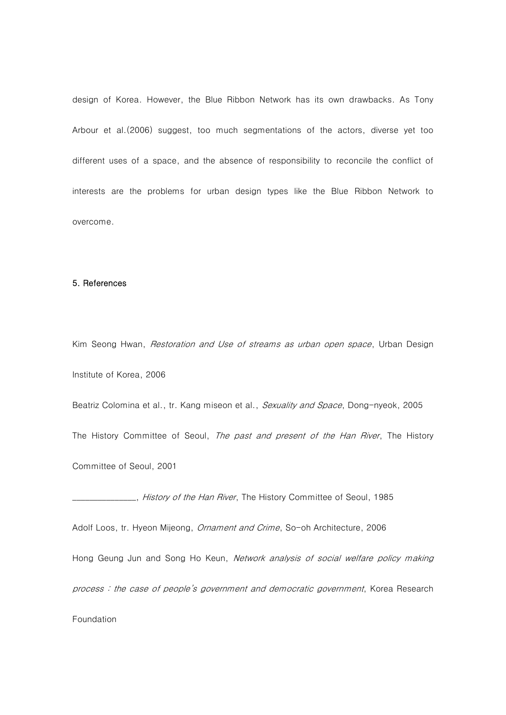design of Korea. However, the Blue Ribbon Network has its own drawbacks. As Tony Arbour et al.(2006) suggest, too much segmentations of the actors, diverse yet too different uses of a space, and the absence of responsibility to reconcile the conflict of interests are the problems for urban design types like the Blue Ribbon Network to overcome.

### 5. References

Kim Seong Hwan, *Restoration and Use of streams as urban open space*, Urban Design Institute of Korea, 2006

Beatriz Colomina et al., tr. Kang miseon et al., Sexuality and Space, Dong-nyeok, 2005 The History Committee of Seoul, The past and present of the Han River, The History Committee of Seoul, 2001

\_\_\_\_\_\_\_\_\_\_\_\_\_\_\_, History of the Han River, The History Committee of Seoul, 1985

Adolf Loos, tr. Hyeon Mijeong, *Ornament and Crime*, So-oh Architecture, 2006

Hong Geung Jun and Song Ho Keun, Network analysis of social welfare policy making

process : the case of people's government and democratic government, Korea Research

Foundation